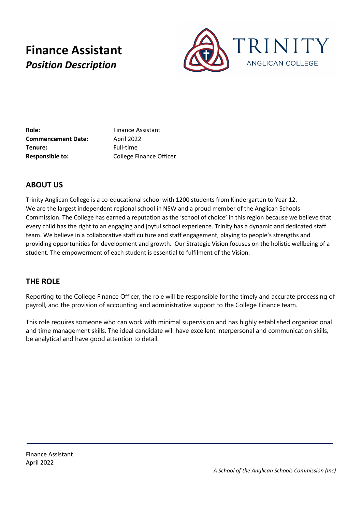# **Finance Assistant** *Position Description*



**Role:** Finance Assistant **Commencement Date:** April 2022 **Tenure:** Full-time **Responsible to:** College Finance Officer

## **ABOUT US**

Trinity Anglican College is a co-educational school with 1200 students from Kindergarten to Year 12. We are the largest independent regional school in NSW and a proud member of the Anglican Schools Commission. The College has earned a reputation as the 'school of choice' in this region because we believe that every child has the right to an engaging and joyful school experience. Trinity has a dynamic and dedicated staff team. We believe in a collaborative staff culture and staff engagement, playing to people's strengths and providing opportunities for development and growth. Our Strategic Vision focuses on the holistic wellbeing of a student. The empowerment of each student is essential to fulfilment of the Vision.

### **THE ROLE**

Reporting to the College Finance Officer, the role will be responsible for the timely and accurate processing of payroll, and the provision of accounting and administrative support to the College Finance team.

This role requires someone who can work with minimal supervision and has highly established organisational and time management skills. The ideal candidate will have excellent interpersonal and communication skills, be analytical and have good attention to detail.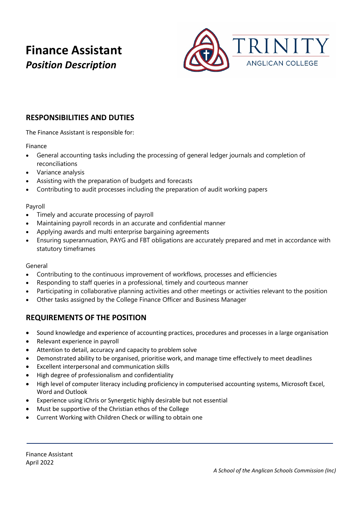# **Finance Assistant** *Position Description*



## **RESPONSIBILITIES AND DUTIES**

The Finance Assistant is responsible for:

Finance

- General accounting tasks including the processing of general ledger journals and completion of reconciliations
- Variance analysis
- Assisting with the preparation of budgets and forecasts
- Contributing to audit processes including the preparation of audit working papers

#### Payroll

- Timely and accurate processing of payroll
- Maintaining payroll records in an accurate and confidential manner
- Applying awards and multi enterprise bargaining agreements
- Ensuring superannuation, PAYG and FBT obligations are accurately prepared and met in accordance with statutory timeframes

#### General

- Contributing to the continuous improvement of workflows, processes and efficiencies
- Responding to staff queries in a professional, timely and courteous manner
- Participating in collaborative planning activities and other meetings or activities relevant to the position
- Other tasks assigned by the College Finance Officer and Business Manager

### **REQUIREMENTS OF THE POSITION**

- Sound knowledge and experience of accounting practices, procedures and processes in a large organisation
- Relevant experience in payroll
- Attention to detail, accuracy and capacity to problem solve
- Demonstrated ability to be organised, prioritise work, and manage time effectively to meet deadlines
- Excellent interpersonal and communication skills
- High degree of professionalism and confidentiality
- High level of computer literacy including proficiency in computerised accounting systems, Microsoft Excel, Word and Outlook
- Experience using iChris or Synergetic highly desirable but not essential
- Must be supportive of the Christian ethos of the College
- Current Working with Children Check or willing to obtain one